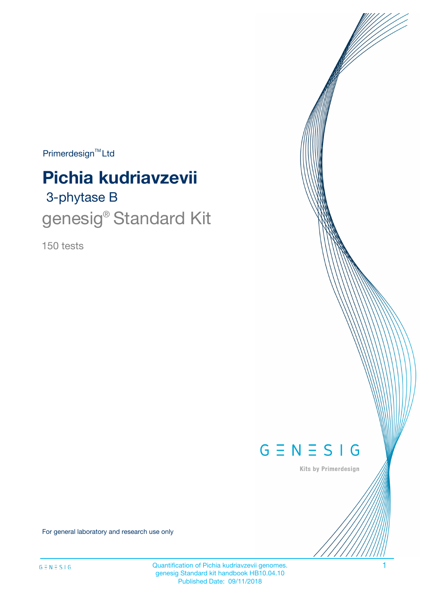$Primerdesign^{\text{TM}}Ltd$ 

# **Pichia kudriavzevii**

# 3-phytase B genesig<sup>®</sup> Standard Kit

150 tests



Kits by Primerdesign

For general laboratory and research use only

Quantification of Pichia kudriavzevii genomes. 1 genesig Standard kit handbook HB10.04.10 Published Date: 09/11/2018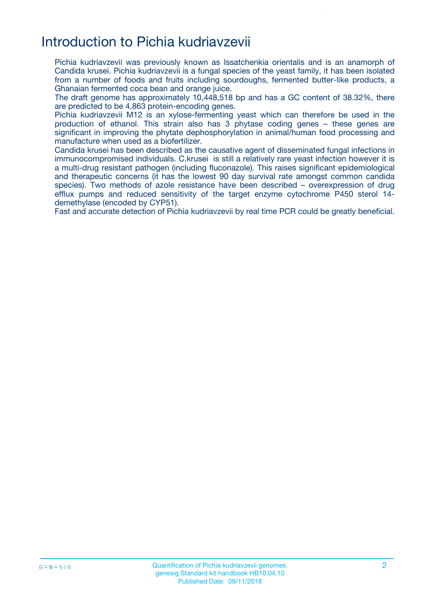## Introduction to Pichia kudriavzevii

Pichia kudriavzevii was previously known as Issatchenkia orientalis and is an anamorph of Candida krusei. Pichia kudriavzevii is a fungal species of the yeast family, it has been isolated from a number of foods and fruits including sourdoughs, fermented butter-like products, a Ghanaian fermented coca bean and orange juice.

The draft genome has approximately 10,448,518 bp and has a GC content of 38.32%, there are predicted to be 4,863 protein-encoding genes.

Pichia kudriavzevii M12 is an xylose-fermenting yeast which can therefore be used in the production of ethanol. This strain also has 3 phytase coding genes – these genes are significant in improving the phytate dephosphorylation in animal/human food processing and manufacture when used as a biofertilizer.

Candida krusei has been described as the causative agent of disseminated fungal infections in immunocompromised individuals. C.krusei is still a relatively rare yeast infection however it is a multi-drug resistant pathogen (including fluconazole). This raises significant epidemiological and therapeutic concerns (it has the lowest 90 day survival rate amongst common candida species). Two methods of azole resistance have been described – overexpression of drug efflux pumps and reduced sensitivity of the target enzyme cytochrome P450 sterol 14 demethylase (encoded by CYP51).

Fast and accurate detection of Pichia kudriavzevii by real time PCR could be greatly beneficial.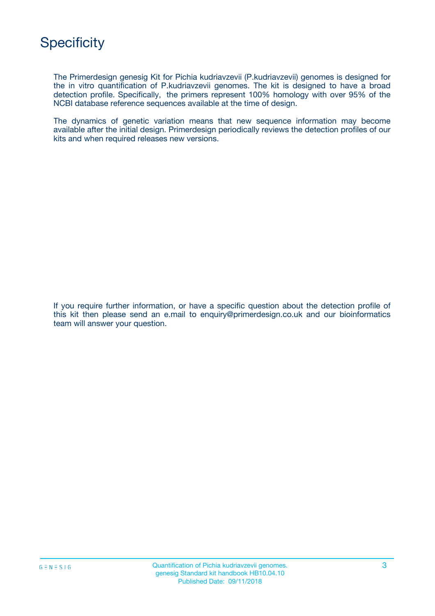

The Primerdesign genesig Kit for Pichia kudriavzevii (P.kudriavzevii) genomes is designed for the in vitro quantification of P.kudriavzevii genomes. The kit is designed to have a broad detection profile. Specifically, the primers represent 100% homology with over 95% of the NCBI database reference sequences available at the time of design.

The dynamics of genetic variation means that new sequence information may become available after the initial design. Primerdesign periodically reviews the detection profiles of our kits and when required releases new versions.

If you require further information, or have a specific question about the detection profile of this kit then please send an e.mail to enquiry@primerdesign.co.uk and our bioinformatics team will answer your question.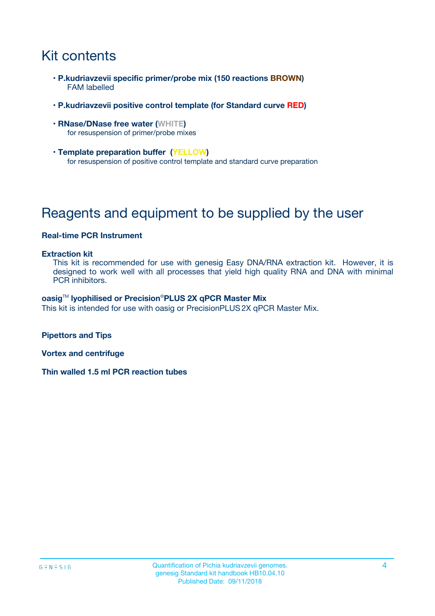# Kit contents

- **P.kudriavzevii specific primer/probe mix (150 reactions BROWN)** FAM labelled
- **P.kudriavzevii positive control template (for Standard curve RED)**
- **RNase/DNase free water (WHITE)** for resuspension of primer/probe mixes
- **Template preparation buffer (YELLOW)** for resuspension of positive control template and standard curve preparation

# Reagents and equipment to be supplied by the user

#### **Real-time PCR Instrument**

#### **Extraction kit**

This kit is recommended for use with genesig Easy DNA/RNA extraction kit. However, it is designed to work well with all processes that yield high quality RNA and DNA with minimal PCR inhibitors.

#### **oasig**TM **lyophilised or Precision**®**PLUS 2X qPCR Master Mix**

This kit is intended for use with oasig or PrecisionPLUS2X qPCR Master Mix.

**Pipettors and Tips**

**Vortex and centrifuge**

**Thin walled 1.5 ml PCR reaction tubes**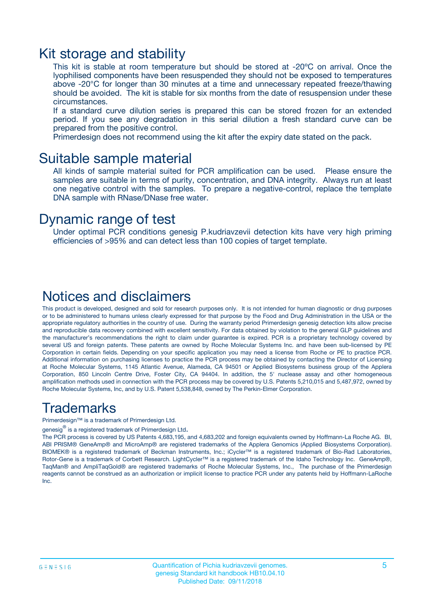### Kit storage and stability

This kit is stable at room temperature but should be stored at -20ºC on arrival. Once the lyophilised components have been resuspended they should not be exposed to temperatures above -20°C for longer than 30 minutes at a time and unnecessary repeated freeze/thawing should be avoided. The kit is stable for six months from the date of resuspension under these circumstances.

If a standard curve dilution series is prepared this can be stored frozen for an extended period. If you see any degradation in this serial dilution a fresh standard curve can be prepared from the positive control.

Primerdesign does not recommend using the kit after the expiry date stated on the pack.

### Suitable sample material

All kinds of sample material suited for PCR amplification can be used. Please ensure the samples are suitable in terms of purity, concentration, and DNA integrity. Always run at least one negative control with the samples. To prepare a negative-control, replace the template DNA sample with RNase/DNase free water.

### Dynamic range of test

Under optimal PCR conditions genesig P.kudriavzevii detection kits have very high priming efficiencies of >95% and can detect less than 100 copies of target template.

### Notices and disclaimers

This product is developed, designed and sold for research purposes only. It is not intended for human diagnostic or drug purposes or to be administered to humans unless clearly expressed for that purpose by the Food and Drug Administration in the USA or the appropriate regulatory authorities in the country of use. During the warranty period Primerdesign genesig detection kits allow precise and reproducible data recovery combined with excellent sensitivity. For data obtained by violation to the general GLP guidelines and the manufacturer's recommendations the right to claim under guarantee is expired. PCR is a proprietary technology covered by several US and foreign patents. These patents are owned by Roche Molecular Systems Inc. and have been sub-licensed by PE Corporation in certain fields. Depending on your specific application you may need a license from Roche or PE to practice PCR. Additional information on purchasing licenses to practice the PCR process may be obtained by contacting the Director of Licensing at Roche Molecular Systems, 1145 Atlantic Avenue, Alameda, CA 94501 or Applied Biosystems business group of the Applera Corporation, 850 Lincoln Centre Drive, Foster City, CA 94404. In addition, the 5' nuclease assay and other homogeneous amplification methods used in connection with the PCR process may be covered by U.S. Patents 5,210,015 and 5,487,972, owned by Roche Molecular Systems, Inc, and by U.S. Patent 5,538,848, owned by The Perkin-Elmer Corporation.

### Trademarks

Primerdesign™ is a trademark of Primerdesign Ltd.

genesig $^\circledR$  is a registered trademark of Primerdesign Ltd.

The PCR process is covered by US Patents 4,683,195, and 4,683,202 and foreign equivalents owned by Hoffmann-La Roche AG. BI, ABI PRISM® GeneAmp® and MicroAmp® are registered trademarks of the Applera Genomics (Applied Biosystems Corporation). BIOMEK® is a registered trademark of Beckman Instruments, Inc.; iCycler™ is a registered trademark of Bio-Rad Laboratories, Rotor-Gene is a trademark of Corbett Research. LightCycler™ is a registered trademark of the Idaho Technology Inc. GeneAmp®, TaqMan® and AmpliTaqGold® are registered trademarks of Roche Molecular Systems, Inc., The purchase of the Primerdesign reagents cannot be construed as an authorization or implicit license to practice PCR under any patents held by Hoffmann-LaRoche Inc.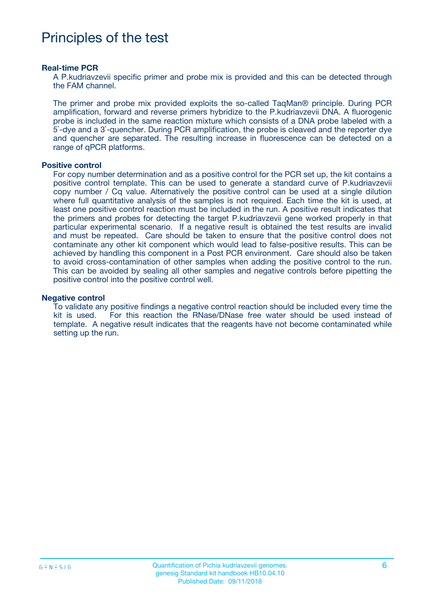## Principles of the test

#### **Real-time PCR**

A P.kudriavzevii specific primer and probe mix is provided and this can be detected through the FAM channel.

The primer and probe mix provided exploits the so-called TaqMan® principle. During PCR amplification, forward and reverse primers hybridize to the P.kudriavzevii DNA. A fluorogenic probe is included in the same reaction mixture which consists of a DNA probe labeled with a 5`-dye and a 3`-quencher. During PCR amplification, the probe is cleaved and the reporter dye and quencher are separated. The resulting increase in fluorescence can be detected on a range of qPCR platforms.

#### **Positive control**

For copy number determination and as a positive control for the PCR set up, the kit contains a positive control template. This can be used to generate a standard curve of P.kudriavzevii copy number / Cq value. Alternatively the positive control can be used at a single dilution where full quantitative analysis of the samples is not required. Each time the kit is used, at least one positive control reaction must be included in the run. A positive result indicates that the primers and probes for detecting the target P.kudriavzevii gene worked properly in that particular experimental scenario. If a negative result is obtained the test results are invalid and must be repeated. Care should be taken to ensure that the positive control does not contaminate any other kit component which would lead to false-positive results. This can be achieved by handling this component in a Post PCR environment. Care should also be taken to avoid cross-contamination of other samples when adding the positive control to the run. This can be avoided by sealing all other samples and negative controls before pipetting the positive control into the positive control well.

#### **Negative control**

To validate any positive findings a negative control reaction should be included every time the kit is used. For this reaction the RNase/DNase free water should be used instead of template. A negative result indicates that the reagents have not become contaminated while setting up the run.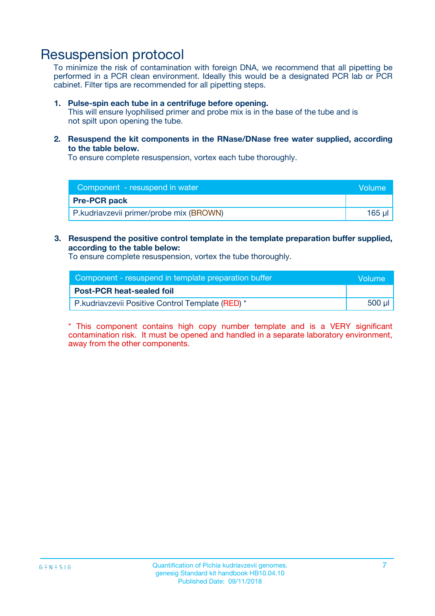### Resuspension protocol

To minimize the risk of contamination with foreign DNA, we recommend that all pipetting be performed in a PCR clean environment. Ideally this would be a designated PCR lab or PCR cabinet. Filter tips are recommended for all pipetting steps.

#### **1. Pulse-spin each tube in a centrifuge before opening.**

This will ensure lyophilised primer and probe mix is in the base of the tube and is not spilt upon opening the tube.

**2. Resuspend the kit components in the RNase/DNase free water supplied, according to the table below.**

To ensure complete resuspension, vortex each tube thoroughly.

| Component - resuspend in water          | Volume |
|-----------------------------------------|--------|
| <b>Pre-PCR pack</b>                     |        |
| P.kudriavzevii primer/probe mix (BROWN) | 165 ul |

#### **3. Resuspend the positive control template in the template preparation buffer supplied, according to the table below:**

To ensure complete resuspension, vortex the tube thoroughly.

| Component - resuspend in template preparation buffer | Wolume! |
|------------------------------------------------------|---------|
| <b>Post-PCR heat-sealed foil</b>                     |         |
| P.kudriavzevii Positive Control Template (RED) *     | 500 µl  |

\* This component contains high copy number template and is a VERY significant contamination risk. It must be opened and handled in a separate laboratory environment, away from the other components.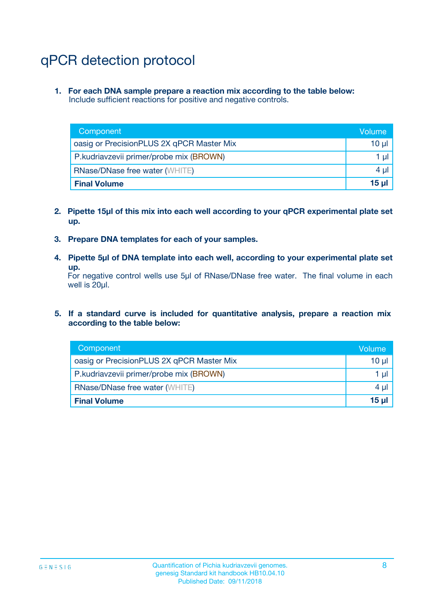# qPCR detection protocol

**1. For each DNA sample prepare a reaction mix according to the table below:** Include sufficient reactions for positive and negative controls.

| Component                                 | Volume   |
|-------------------------------------------|----------|
| oasig or PrecisionPLUS 2X qPCR Master Mix | 10 $\mu$ |
| P.kudriavzevii primer/probe mix (BROWN)   | 1 $\mu$  |
| <b>RNase/DNase free water (WHITE)</b>     | $4 \mu$  |
| <b>Final Volume</b>                       | 15 ul    |

- **2. Pipette 15µl of this mix into each well according to your qPCR experimental plate set up.**
- **3. Prepare DNA templates for each of your samples.**
- **4. Pipette 5µl of DNA template into each well, according to your experimental plate set up.**

For negative control wells use 5µl of RNase/DNase free water. The final volume in each well is 20µl.

**5. If a standard curve is included for quantitative analysis, prepare a reaction mix according to the table below:**

| Component                                 | Volume     |
|-------------------------------------------|------------|
| oasig or PrecisionPLUS 2X qPCR Master Mix | 10 µl      |
| P.kudriavzevii primer/probe mix (BROWN)   | 1 µI       |
| <b>RNase/DNase free water (WHITE)</b>     | $4 \mu$    |
| <b>Final Volume</b>                       | $15$ $\mu$ |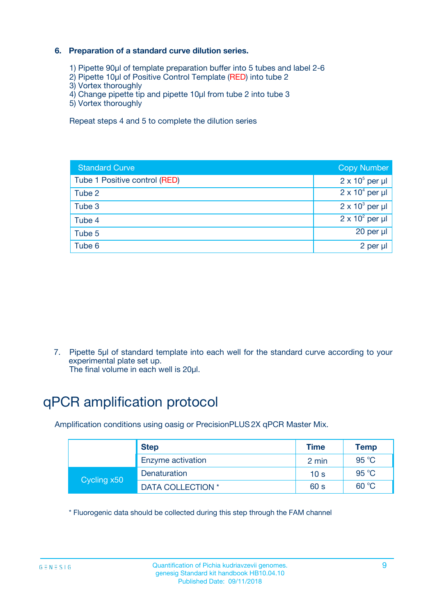### **6. Preparation of a standard curve dilution series.**

- 1) Pipette 90µl of template preparation buffer into 5 tubes and label 2-6
- 2) Pipette 10µl of Positive Control Template (RED) into tube 2
- 3) Vortex thoroughly
- 4) Change pipette tip and pipette 10µl from tube 2 into tube 3
- 5) Vortex thoroughly

Repeat steps 4 and 5 to complete the dilution series

| <b>Standard Curve</b>         | <b>Copy Number</b>     |
|-------------------------------|------------------------|
| Tube 1 Positive control (RED) | $2 \times 10^5$ per µl |
| Tube 2                        | $2 \times 10^4$ per µl |
| Tube 3                        | $2 \times 10^3$ per µl |
| Tube 4                        | $2 \times 10^2$ per µl |
| Tube 5                        | 20 per µl              |
| Tube 6                        | 2 per ul               |

7. Pipette 5µl of standard template into each well for the standard curve according to your experimental plate set up.

The final volume in each well is 20µl.

# qPCR amplification protocol

Amplification conditions using oasig or PrecisionPLUS2X qPCR Master Mix.

|             | <b>Step</b>       | <b>Time</b>     | Temp    |
|-------------|-------------------|-----------------|---------|
|             | Enzyme activation | 2 min           | 95 °C   |
| Cycling x50 | Denaturation      | 10 <sub>s</sub> | 95 $°C$ |
|             | DATA COLLECTION * | 60 s            | 60 °C   |

\* Fluorogenic data should be collected during this step through the FAM channel